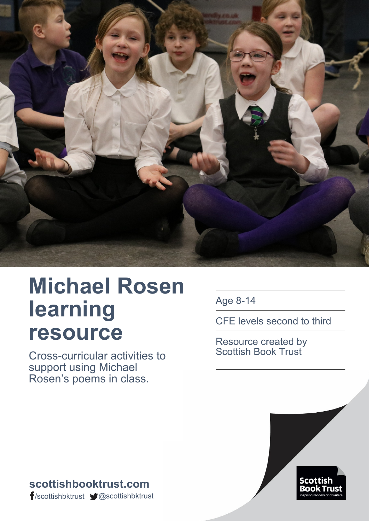

# **Michael Rosen learning resource**

Cross-curricular activities to support using Michael Rosen's poems in class.

Age 8-14

CFE levels second to third

Resource created by Scottish Book Trust



**scottishbooktrust.com** /scottishbktrust @scottishbktrust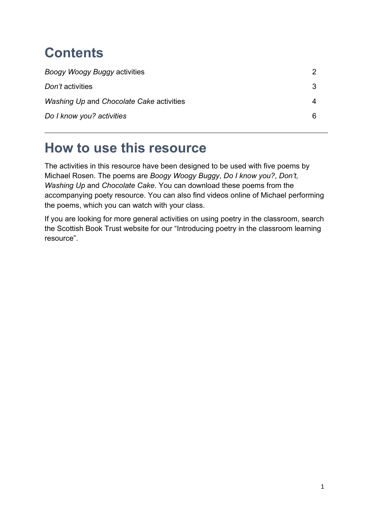# **Contents**

| Boogy Woogy Buggy activities             |  |
|------------------------------------------|--|
| Don't activities                         |  |
| Washing Up and Chocolate Cake activities |  |
| Do I know you? activities                |  |

### **How to use this resource**

The activities in this resource have been designed to be used with five poems by Michael Rosen. The poems are *Boogy Woogy Buggy*, *Do I know you?*, *Don't, Washing Up* and *Chocolate Cake*. You can download these poems from the accompanying poety resource. You can also find videos online of Michael performing the poems, which you can watch with your class.

If you are looking for more general activities on using poetry in the classroom, search the Scottish Book Trust website for our "Introducing poetry in the classroom learning resource".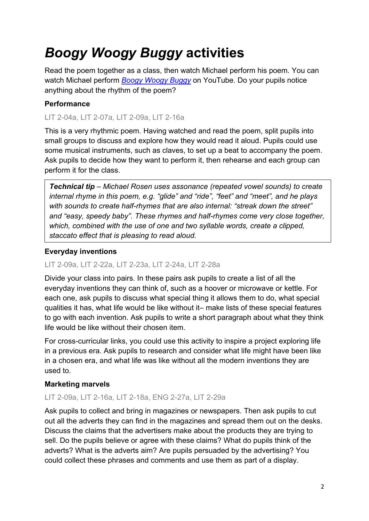# *Boogy Woogy Buggy* **activities**

Read the poem together as a class, then watch Michael perform his poem. You can watch Michael perform *[Boogy Woogy](https://www.youtube.com/watch?v=3lOo315p9WM) Buggy* on YouTube. Do your pupils notice anything about the rhythm of the poem?

#### **Performance**

LIT 2-04a, LIT 2-07a, LIT 2-09a, LIT 2-16a

This is a very rhythmic poem. Having watched and read the poem, split pupils into small groups to discuss and explore how they would read it aloud. Pupils could use some musical instruments, such as claves, to set up a beat to accompany the poem. Ask pupils to decide how they want to perform it, then rehearse and each group can perform it for the class.

*Technical tip – Michael Rosen uses assonance (repeated vowel sounds) to create internal rhyme in this poem, e.g. "glide" and "ride", "feet" and "meet", and he plays with sounds to create half-rhymes that are also internal: "streak down the street" and "easy, speedy baby". These rhymes and half-rhymes come very close together, which, combined with the use of one and two syllable words, create a clipped, staccato effect that is pleasing to read aloud.*

#### **Everyday inventions**

#### LIT 2-09a, LIT 2-22a, LIT 2-23a, LIT 2-24a, LIT 2-28a

Divide your class into pairs. In these pairs ask pupils to create a list of all the everyday inventions they can think of, such as a hoover or microwave or kettle. For each one, ask pupils to discuss what special thing it allows them to do, what special qualities it has, what life would be like without it– make lists of these special features to go with each invention. Ask pupils to write a short paragraph about what they think life would be like without their chosen item.

For cross-curricular links, you could use this activity to inspire a project exploring life in a previous era. Ask pupils to research and consider what life might have been like in a chosen era, and what life was like without all the modern inventions they are used to.

#### **Marketing marvels**

#### LIT 2-09a, LIT 2-16a, LIT 2-18a, ENG 2-27a, LIT 2-29a

Ask pupils to collect and bring in magazines or newspapers. Then ask pupils to cut out all the adverts they can find in the magazines and spread them out on the desks. Discuss the claims that the advertisers make about the products they are trying to sell. Do the pupils believe or agree with these claims? What do pupils think of the adverts? What is the adverts aim? Are pupils persuaded by the advertising? You could collect these phrases and comments and use them as part of a display.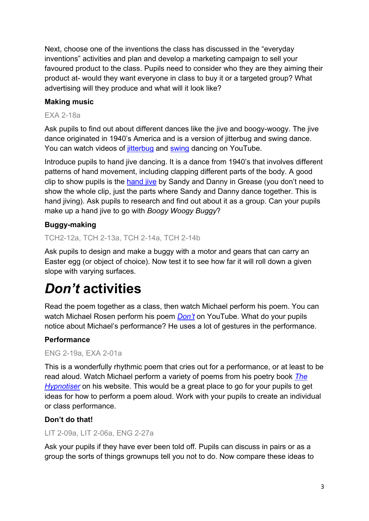Next, choose one of the inventions the class has discussed in the "everyday inventions" activities and plan and develop a marketing campaign to sell your favoured product to the class. Pupils need to consider who they are they aiming their product at- would they want everyone in class to buy it or a targeted group? What advertising will they produce and what will it look like?

#### **Making music**

#### EXA 2-18a

Ask pupils to find out about different dances like the jive and boogy-woogy. The jive dance originated in 1940's America and is a version of jitterbug and swing dance. You can watch videos of [jitterbug](https://www.youtube.com/watch?v=xS5oCLXrQLs) and [swing](https://www.youtube.com/watch?v=I9zHYkKoL4A) dancing on YouTube.

Introduce pupils to hand jive dancing. It is a dance from 1940's that involves different patterns of hand movement, including clapping different parts of the body. A good clip to show pupils is the [hand jive](https://www.youtube.com/watch?v=fY5pmzmiDO8) by Sandy and Danny in Grease (you don't need to show the whole clip, just the parts where Sandy and Danny dance together. This is hand jiving). Ask pupils to research and find out about it as a group. Can your pupils make up a hand jive to go with *Boogy Woogy Buggy*?

#### **Buggy-making**

#### TCH2-12a, TCH 2-13a, TCH 2-14a, TCH 2-14b

Ask pupils to design and make a buggy with a motor and gears that can carry an Easter egg (or object of choice). Now test it to see how far it will roll down a given slope with varying surfaces.

### *Don't* **activities**

Read the poem together as a class, then watch Michael perform his poem. You can watch Michael Rosen perform his poem *[Don't](https://www.youtube.com/watch?v=Oaq3gzswei0)* on YouTube. What do your pupils notice about Michael's performance? He uses a lot of gestures in the performance.

#### **Performance**

#### ENG 2-19a, EXA 2-01a

This is a wonderfully rhythmic poem that cries out for a performance, or at least to be read aloud. Watch Michael perform a variety of poems from his poetry book *[The](http://www.michaelrosen.co.uk/hypnotiser/)  [Hypnotiser](http://www.michaelrosen.co.uk/hypnotiser/)* on his website. This would be a great place to go for your pupils to get ideas for how to perform a poem aloud. Work with your pupils to create an individual or class performance.

#### **Don't do that!**

#### LIT 2-09a, LIT 2-06a, ENG 2-27a

Ask your pupils if they have ever been told off. Pupils can discuss in pairs or as a group the sorts of things grownups tell you not to do. Now compare these ideas to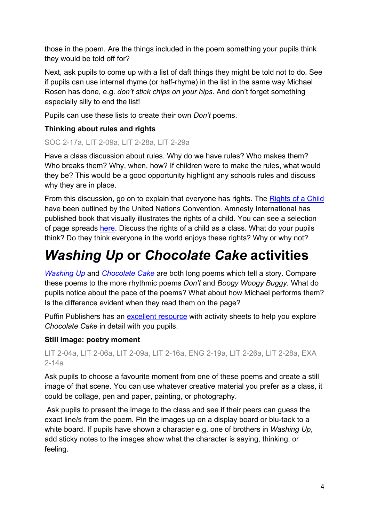those in the poem. Are the things included in the poem something your pupils think they would be told off for?

Next, ask pupils to come up with a list of daft things they might be told not to do. See if pupils can use internal rhyme (or half-rhyme) in the list in the same way Michael Rosen has done, e.g. *don't stick chips on your hips*. And don't forget something especially silly to end the list!

Pupils can use these lists to create their own *Don't* poems.

#### **Thinking about rules and rights**

#### SOC 2-17a, LIT 2-09a, LIT 2-28a, LIT 2-29a

Have a class discussion about rules. Why do we have rules? Who makes them? Who breaks them? Why, when, how? If children were to make the rules, what would they be? This would be a good opportunity highlight any schools rules and discuss why they are in place.

From this discussion, go on to explain that everyone has rights. The [Rights of a Child](https://www.unicef.org/crc/) have been outlined by the United Nations Convention. Amnesty International has published book that visually illustrates the rights of a child. You can see a selection of page spreads [here.](https://www.amnesty.org.uk/rights-child-pictures) Discuss the rights of a child as a class. What do your pupils think? Do they think everyone in the world enjoys these rights? Why or why not?

## *Washing Up* **or** *Chocolate Cake* **activities**

*[Washing Up](https://www.youtube.com/watch?v=dmeS6U_OcE4)* and *[Chocolate Cake](https://www.youtube.com/watch?v=7BxQLITdOOc)* are both long poems which tell a story. Compare these poems to the more rhythmic poems *Don't* and *Boogy Woogy Buggy.* What do pupils notice about the pace of the poems? What about how Michael performs them? Is the difference evident when they read them on the page?

Puffin Publishers has an [excellent resource](https://www.puffinschools.co.uk/wp-content/uploads/2019/03/Puffin-Schools-KS2-Poetry-Resource-Pack-Michael-Rosens-Chocolate-Cake.pdf) with activity sheets to help you explore *Chocolate Cake* in detail with you pupils.

#### **Still image: poetry moment**

LIT 2-04a, LIT 2-06a, LIT 2-09a, LIT 2-16a, ENG 2-19a, LIT 2-26a, LIT 2-28a, EXA 2-14a

Ask pupils to choose a favourite moment from one of these poems and create a still image of that scene. You can use whatever creative material you prefer as a class, it could be collage, pen and paper, painting, or photography.

Ask pupils to present the image to the class and see if their peers can guess the exact line/s from the poem. Pin the images up on a display board or blu-tack to a white board. If pupils have shown a character e.g. one of brothers in *Washing Up*, add sticky notes to the images show what the character is saying, thinking, or feeling.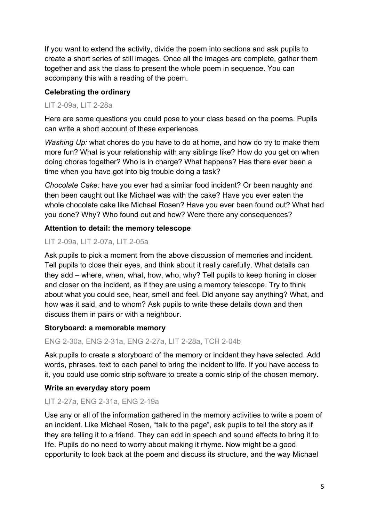If you want to extend the activity, divide the poem into sections and ask pupils to create a short series of still images. Once all the images are complete, gather them together and ask the class to present the whole poem in sequence. You can accompany this with a reading of the poem.

#### **Celebrating the ordinary**

#### LIT 2-09a, LIT 2-28a

Here are some questions you could pose to your class based on the poems. Pupils can write a short account of these experiences.

*Washing Up:* what chores do you have to do at home, and how do try to make them more fun? What is your relationship with any siblings like? How do you get on when doing chores together? Who is in charge? What happens? Has there ever been a time when you have got into big trouble doing a task?

*Chocolate Cake:* have you ever had a similar food incident? Or been naughty and then been caught out like Michael was with the cake? Have you ever eaten the whole chocolate cake like Michael Rosen? Have you ever been found out? What had you done? Why? Who found out and how? Were there any consequences?

#### **Attention to detail: the memory telescope**

#### LIT 2-09a, LIT 2-07a, LIT 2-05a

Ask pupils to pick a moment from the above discussion of memories and incident. Tell pupils to close their eyes, and think about it really carefully. What details can they add – where, when, what, how, who, why? Tell pupils to keep honing in closer and closer on the incident, as if they are using a memory telescope. Try to think about what you could see, hear, smell and feel. Did anyone say anything? What, and how was it said, and to whom? Ask pupils to write these details down and then discuss them in pairs or with a neighbour.

#### **Storyboard: a memorable memory**

#### ENG 2-30a, ENG 2-31a, ENG 2-27a, LIT 2-28a, TCH 2-04b

Ask pupils to create a storyboard of the memory or incident they have selected. Add words, phrases, text to each panel to bring the incident to life. If you have access to it, you could use comic strip software to create a comic strip of the chosen memory.

#### **Write an everyday story poem**

#### LIT 2-27a, ENG 2-31a, ENG 2-19a

Use any or all of the information gathered in the memory activities to write a poem of an incident. Like Michael Rosen, "talk to the page", ask pupils to tell the story as if they are telling it to a friend. They can add in speech and sound effects to bring it to life. Pupils do no need to worry about making it rhyme. Now might be a good opportunity to look back at the poem and discuss its structure, and the way Michael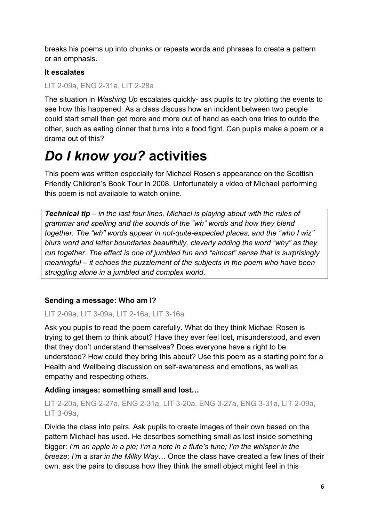breaks his poems up into chunks or repeats words and phrases to create a pattern or an emphasis.

#### **It escalates**

#### LIT 2-09a, ENG 2-31a, LIT 2-28a

The situation in *Washing Up* escalates quickly- ask pupils to try plotting the events to see how this happened. As a class discuss how an incident between two people could start small then get more and more out of hand as each one tries to outdo the other, such as eating dinner that turns into a food fight. Can pupils make a poem or a drama out of this?

### *Do I know you?* **activities**

This poem was written especially for Michael Rosen's appearance on the Scottish Friendly Children's Book Tour in 2008. Unfortunately a video of Michael performing this poem is not available to watch online.

*Technical tip – in the last four lines, Michael is playing about with the rules of grammar and spelling and the sounds of the "wh" words and how they blend together. The "wh" words appear in not-quite-expected places, and the "who I wiz" blurs word and letter boundaries beautifully, cleverly adding the word "why" as they run together. The effect is one of jumbled fun and "almost" sense that is surprisingly meaningful – it echoes the puzzlement of the subjects in the poem who have been struggling alone in a jumbled and complex world.* 

#### **Sending a message: Who am I?**

#### LIT 2-09a, LIT 3-09a, LIT 2-16a, LIT 3-16a

Ask you pupils to read the poem carefully. What do they think Michael Rosen is trying to get them to think about? Have they ever feel lost, misunderstood, and even that they don't understand themselves? Does everyone have a right to be understood? How could they bring this about? Use this poem as a starting point for a Health and Wellbeing discussion on self-awareness and emotions, as well as empathy and respecting others.

#### **Adding images: something small and lost…**

#### LIT 2-20a, ENG 2-27a, ENG 2-31a, LIT 3-20a, ENG 3-27a, ENG 3-31a, LIT 2-09a, LIT 3-09a,

Divide the class into pairs. Ask pupils to create images of their own based on the pattern Michael has used. He describes something small as lost inside something bigger: *I'm an apple in a pie; I'm a note in a flute's tune; I'm the whisper in the breeze; I'm a star in the Milky Way…* Once the class have created a few lines of their own, ask the pairs to discuss how they think the small object might feel in this